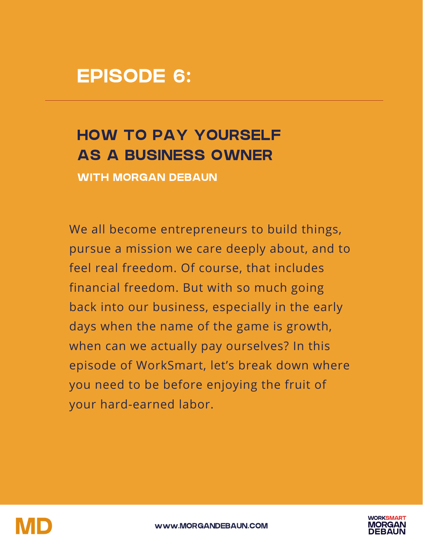# EPISODE 6:

# HOW TO PAY YOURSELF AS A BUSINESS OWNER

WITH MORGAN DEBAUN

We all become entrepreneurs to build things, pursue a mission we care deeply about, and to feel real freedom. Of course, that includes financial freedom. But with so much going back into our business, especially in the early days when the name of the game is growth, when can we actually pay ourselves? In this episode of WorkSmart, let's break down where you need to be before enjoying the fruit of your hard-earned labor.



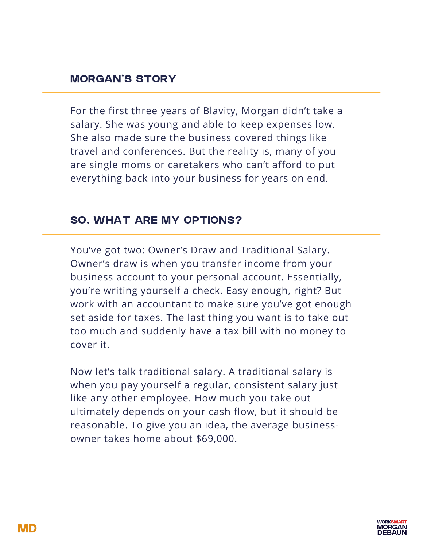For the first three years of Blavity, Morgan didn't take a salary. She was young and able to keep expenses low. She also made sure the business covered things like travel and conferences. But the reality is, many of you are single moms or caretakers who can't afford to put everything back into your business for years on end.

## SO, WHAT ARE MY OPTIONS?

You've got two: Owner's Draw and Traditional Salary. Owner's draw is when you transfer income from your business account to your personal account. Essentially, you're writing yourself a check. Easy enough, right? But work with an accountant to make sure you've got enough set aside for taxes. The last thing you want is to take out too much and suddenly have a tax bill with no money to cover it.

Now let's talk traditional salary. A traditional salary is when you pay yourself a regular, consistent salary just like any other employee. How much you take out ultimately depends on your cash flow, but it should be reasonable. To give you an idea, the average businessowner takes home about \$69,000.

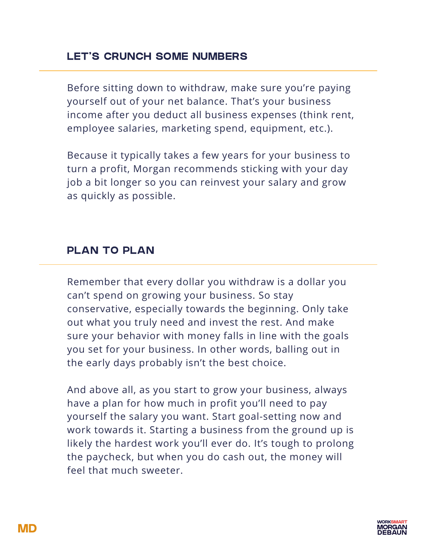## LET'S CRUNCH SOME NUMBERS

Before sitting down to withdraw, make sure you're paying yourself out of your net balance. That's your business income after you deduct all business expenses (think rent, employee salaries, marketing spend, equipment, etc.).

Because it typically takes a few years for your business to turn a profit, Morgan recommends sticking with your day job a bit longer so you can reinvest your salary and grow as quickly as possible.

#### PLAN TO PLAN

Remember that every dollar you withdraw is a dollar you can't spend on growing your business. So stay conservative, especially towards the beginning. Only take out what you truly need and invest the rest. And make sure your behavior with money falls in line with the goals you set for your business. In other words, balling out in the early days probably isn't the best choice.

And above all, as you start to grow your business, always have a plan for how much in profit you'll need to pay yourself the salary you want. Start goal-setting now and work towards it. Starting a business from the ground up is likely the hardest work you'll ever do. It's tough to prolong the paycheck, but when you do cash out, the money will feel that much sweeter.

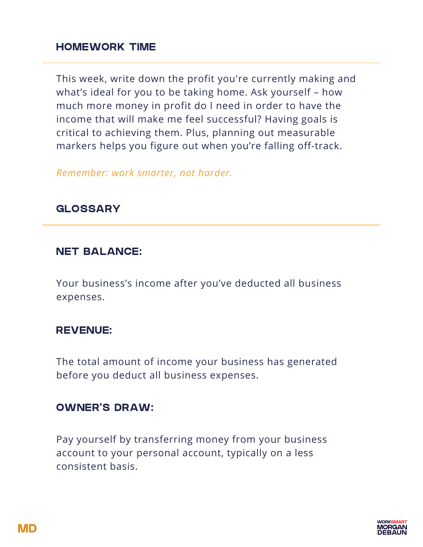#### HOMEWORK TIME

This week, write down the profit you're currently making and what's ideal for you to be taking home. Ask yourself – how much more money in profit do I need in order to have the income that will make me feel successful? Having goals is critical to achieving them. Plus, planning out measurable markers helps you figure out when you're falling off-track.

*Remember: work smarter, not harder.*

#### GLOSSARY

#### NET BALANCE:

Your business's income after you've deducted all business expenses.

#### REVENUE:

The total amount of income your business has generated before you deduct all business expenses.

#### OWNER'S DRAW:

Pay yourself by transferring money from your business account to your personal account, typically on a less consistent basis.

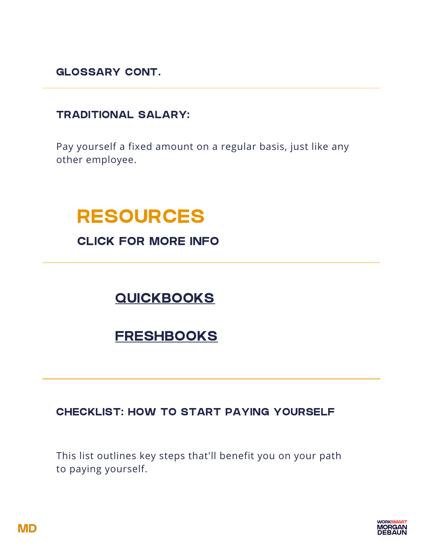GLOSSARY CONT.

## TRADITIONAL SALARY:

Pay yourself a fixed amount on a regular basis, just like any other employee.

# RESOURCES

CLICK FOR MORE INFO

# **[QUICKBOOKS](https://quickbooks.intuit.com/)**

# **[FRESHBOOKS](https://www.freshbooks.com/)**

### CHECKLIST: HOW TO START PAYING YOURSELF

This list outlines key steps that'll benefit you on your path to paying yourself.

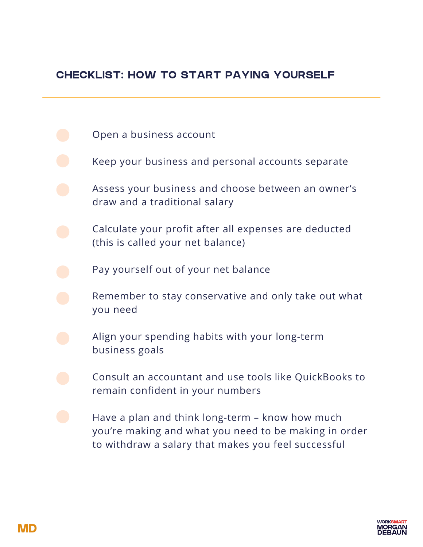## CHECKLIST: HOW TO START PAYING YOURSELF

- Open a business account
- Keep your business and personal accounts separate
- Assess your business and choose between an owner's draw and a traditional salary
- Calculate your profit after all expenses are deducted (this is called your net balance)
	- Pay yourself out of your net balance
- Remember to stay conservative and only take out what you need
- Align your spending habits with your long-term business goals
	- Consult an accountant and use tools like QuickBooks to remain confident in your numbers
	- Have a plan and think long-term know how much you're making and what you need to be making in order to withdraw a salary that makes you feel successful